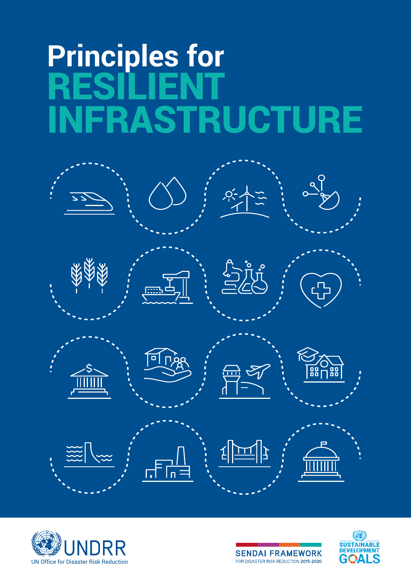# **Principles for** RESILIENT **NFRASTRUCTURE**







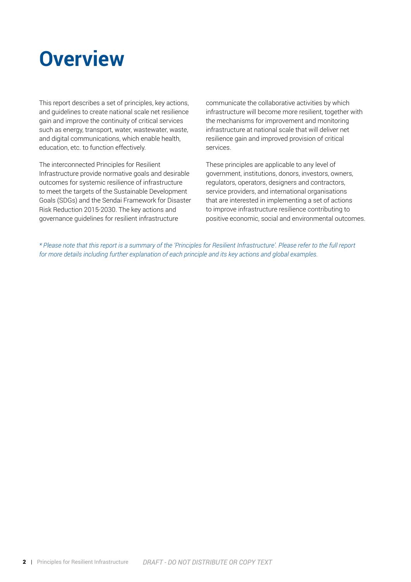## **Overview**

This report describes a set of principles, key actions, and guidelines to create national scale net resilience gain and improve the continuity of critical services such as energy, transport, water, wastewater, waste, and digital communications, which enable health, education, etc. to function effectively.

The interconnected Principles for Resilient Infrastructure provide normative goals and desirable outcomes for systemic resilience of infrastructure to meet the targets of the Sustainable Development Goals (SDGs) and the Sendai Framework for Disaster Risk Reduction 2015-2030. The key actions and governance guidelines for resilient infrastructure

communicate the collaborative activities by which infrastructure will become more resilient, together with the mechanisms for improvement and monitoring infrastructure at national scale that will deliver net resilience gain and improved provision of critical services.

These principles are applicable to any level of government, institutions, donors, investors, owners, regulators, operators, designers and contractors, service providers, and international organisations that are interested in implementing a set of actions to improve infrastructure resilience contributing to positive economic, social and environmental outcomes.

*\* Please note that this report is a summary of the 'Principles for Resilient Infrastructure'. Please refer to the full report for more details including further explanation of each principle and its key actions and global examples.*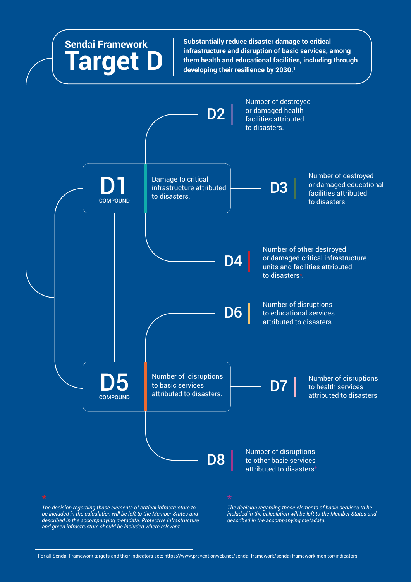

*The decision regarding those elements of critical infrastructure to be included in the calculation will be left to the Member States and described in the accompanying metadata. Protective infrastructure and green infrastructure should be included where relevant.*

*The decision regarding those elements of basic services to be included in the calculation will be left to the Member States and described in the accompanying metadata.*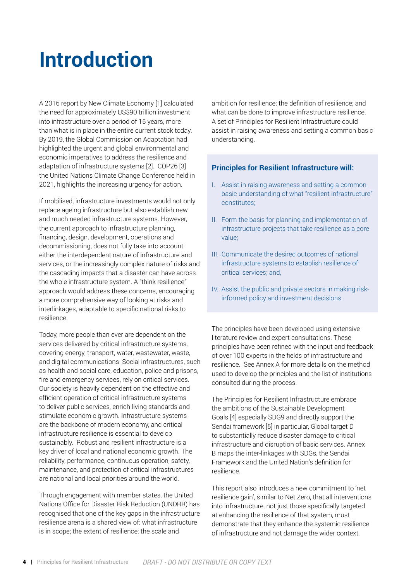## **Introduction**

A 2016 report by New Climate Economy [1] calculated the need for approximately US\$90 trillion investment into infrastructure over a period of 15 years, more than what is in place in the entire current stock today. By 2019, the Global Commission on Adaptation had highlighted the urgent and global environmental and economic imperatives to address the resilience and adaptation of infrastructure systems [2]. COP26 [3] the United Nations Climate Change Conference held in 2021, highlights the increasing urgency for action.

If mobilised, infrastructure investments would not only replace ageing infrastructure but also establish new and much needed infrastructure systems. However, the current approach to infrastructure planning, financing, design, development, operations and decommissioning, does not fully take into account either the interdependent nature of infrastructure and services, or the increasingly complex nature of risks and the cascading impacts that a disaster can have across the whole infrastructure system. A "think resilience" approach would address these concerns, encouraging a more comprehensive way of looking at risks and interlinkages, adaptable to specific national risks to resilience.

Today, more people than ever are dependent on the services delivered by critical infrastructure systems, covering energy, transport, water, wastewater, waste, and digital communications. Social infrastructures, such as health and social care, education, police and prisons, fire and emergency services, rely on critical services. Our society is heavily dependent on the effective and efficient operation of critical infrastructure systems to deliver public services, enrich living standards and stimulate economic growth. Infrastructure systems are the backbone of modern economy, and critical infrastructure resilience is essential to develop sustainably. Robust and resilient infrastructure is a key driver of local and national economic growth. The reliability, performance, continuous operation, safety, maintenance, and protection of critical infrastructures are national and local priorities around the world.

Through engagement with member states, the United Nations Office for Disaster Risk Reduction (UNDRR) has recognised that one of the key gaps in the infrastructure resilience arena is a shared view of: what infrastructure is in scope; the extent of resilience; the scale and

ambition for resilience; the definition of resilience; and what can be done to improve infrastructure resilience. A set of Principles for Resilient Infrastructure could assist in raising awareness and setting a common basic understanding.

#### **Principles for Resilient Infrastructure will:**

- I. Assist in raising awareness and setting a common basic understanding of what "resilient infrastructure" constitutes;
- II. Form the basis for planning and implementation of infrastructure projects that take resilience as a core value;
- III. Communicate the desired outcomes of national infrastructure systems to establish resilience of critical services; and,
- IV. Assist the public and private sectors in making riskinformed policy and investment decisions.

The principles have been developed using extensive literature review and expert consultations. These principles have been refined with the input and feedback of over 100 experts in the fields of infrastructure and resilience. See Annex A for more details on the method used to develop the principles and the list of institutions consulted during the process.

The Principles for Resilient Infrastructure embrace the ambitions of the Sustainable Development Goals [4] especially SDG9 and directly support the Sendai framework [5] in particular, Global target D to substantially reduce disaster damage to critical infrastructure and disruption of basic services. Annex B maps the inter-linkages with SDGs, the Sendai Framework and the United Nation's definition for resilience.

This report also introduces a new commitment to 'net resilience gain', similar to Net Zero, that all interventions into infrastructure, not just those specifically targeted at enhancing the resilience of that system, must demonstrate that they enhance the systemic resilience of infrastructure and not damage the wider context.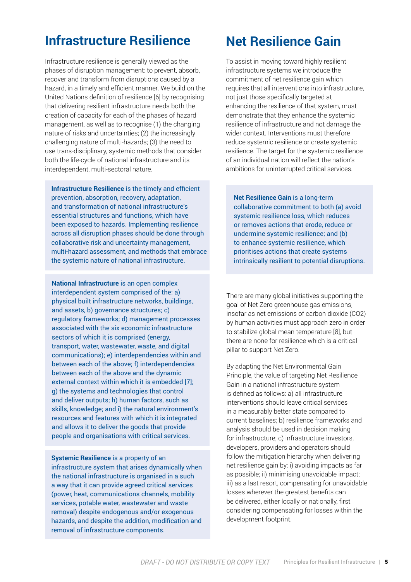### **Infrastructure Resilience Net Resilience Gain**

Infrastructure resilience is generally viewed as the phases of disruption management: to prevent, absorb, recover and transform from disruptions caused by a hazard, in a timely and efficient manner. We build on the United Nations definition of resilience [6] by recognising that delivering resilient infrastructure needs both the creation of capacity for each of the phases of hazard management, as well as to recognise (1) the changing nature of risks and uncertainties; (2) the increasingly challenging nature of multi-hazards; (3) the need to use trans-disciplinary, systemic methods that consider both the life-cycle of national infrastructure and its interdependent, multi-sectoral nature.

**Infrastructure Resilience** is the timely and efficient prevention, absorption, recovery, adaptation, and transformation of national infrastructure's essential structures and functions, which have been exposed to hazards. Implementing resilience across all disruption phases should be done through collaborative risk and uncertainty management, multi-hazard assessment, and methods that embrace the systemic nature of national infrastructure.

**National Infrastructure** is an open complex interdependent system comprised of the: a) physical built infrastructure networks, buildings, and assets, b) governance structures; c) regulatory frameworks; d) management processes associated with the six economic infrastructure sectors of which it is comprised (energy, transport, water, wastewater, waste, and digital communications); e) interdependencies within and between each of the above; f) interdependencies between each of the above and the dynamic external context within which it is embedded [7]; g) the systems and technologies that control and deliver outputs; h) human factors, such as skills, knowledge; and i) the natural environment's resources and features with which it is integrated and allows it to deliver the goods that provide people and organisations with critical services.

**Systemic Resilience** is a property of an infrastructure system that arises dynamically when the national infrastructure is organised in a such a way that it can provide agreed critical services (power, heat, communications channels, mobility services, potable water, wastewater and waste removal) despite endogenous and/or exogenous hazards, and despite the addition, modification and removal of infrastructure components.

To assist in moving toward highly resilient infrastructure systems we introduce the commitment of net resilience gain which requires that all interventions into infrastructure, not just those specifically targeted at enhancing the resilience of that system, must demonstrate that they enhance the systemic resilience of infrastructure and not damage the wider context. Interventions must therefore reduce systemic resilience or create systemic resilience. The target for the systemic resilience of an individual nation will reflect the nation's ambitions for uninterrupted critical services.

**Net Resilience Gain** is a long-term collaborative commitment to both (a) avoid systemic resilience loss, which reduces or removes actions that erode, reduce or undermine systemic resilience; and (b) to enhance systemic resilience, which prioritises actions that create systems intrinsically resilient to potential disruptions.

There are many global initiatives supporting the goal of Net Zero greenhouse gas emissions, insofar as net emissions of carbon dioxide (CO2) by human activities must approach zero in order to stabilize global mean temperature [8], but there are none for resilience which is a critical pillar to support Net Zero.

By adapting the Net Environmental Gain Principle, the value of targeting Net Resilience Gain in a national infrastructure system is defined as follows: a) all infrastructure interventions should leave critical services in a measurably better state compared to current baselines; b) resilience frameworks and analysis should be used in decision making for infrastructure; c) infrastructure investors, developers, providers and operators should follow the mitigation hierarchy when delivering net resilience gain by: i) avoiding impacts as far as possible; ii) minimising unavoidable impact; iii) as a last resort, compensating for unavoidable losses wherever the greatest benefits can be delivered, either locally or nationally, first considering compensating for losses within the development footprint.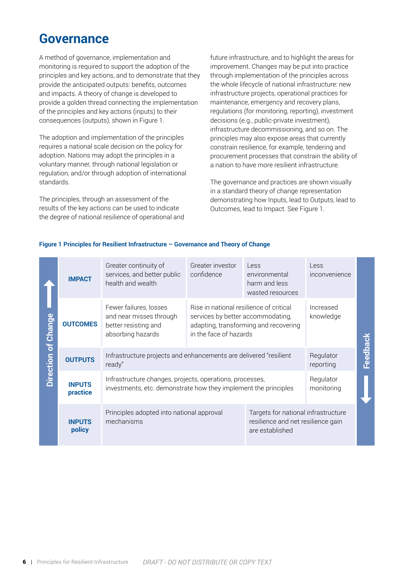### **Governance**

A method of governance, implementation and monitoring is required to support the adoption of the principles and key actions, and to demonstrate that they provide the anticipated outputs: benefits, outcomes and impacts. A theory of change is developed to provide a golden thread connecting the implementation of the principles and key actions (inputs) to their consequences (outputs), shown in Figure 1.

The adoption and implementation of the principles requires a national scale decision on the policy for adoption. Nations may adopt the principles in a voluntary manner, through national legislation or regulation, and/or through adoption of international standards.

The principles, through an assessment of the results of the key actions can be used to indicate the degree of national resilience of operational and future infrastructure, and to highlight the areas for improvement. Changes may be put into practice through implementation of the principles across the whole lifecycle of national infrastructure: new infrastructure projects, operational practices for maintenance, emergency and recovery plans, regulations (for monitoring, reporting), investment decisions (e.g., public-private investment), infrastructure decommissioning, and so on. The principles may also expose areas that currently constrain resilience, for example, tendering and procurement processes that constrain the ability of a nation to have more resilient infrastructure.

The governance and practices are shown visually in a standard theory of change representation demonstrating how Inputs, lead to Outputs, lead to Outcomes, lead to Impact. See Figure 1.

#### **Figure 1 Principles for Resilient Infrastructure – Governance and Theory of Change**

| Chang<br>Direction of | <b>IMPACT</b>             | Greater continuity of<br>services, and better public<br>health and wealth                                                   | Greater investor<br>confidence                                                                                                                  | Less<br>environmental<br>harm and less<br>wasted resources                                   | Less<br>inconvenience   |          |
|-----------------------|---------------------------|-----------------------------------------------------------------------------------------------------------------------------|-------------------------------------------------------------------------------------------------------------------------------------------------|----------------------------------------------------------------------------------------------|-------------------------|----------|
|                       | <b>OUTCOMES</b>           | Fewer failures, losses<br>and near misses through<br>better resisting and<br>absorbing hazards                              | Rise in national resilience of critical<br>services by better accommodating,<br>adapting, transforming and recovering<br>in the face of hazards |                                                                                              | Increased<br>knowledge  |          |
|                       | <b>OUTPUTS</b>            | Infrastructure projects and enhancements are delivered "resilient<br>ready"                                                 |                                                                                                                                                 |                                                                                              | Regulator<br>reporting  | Feedback |
|                       | <b>INPUTS</b><br>practice | Infrastructure changes, projects, operations, processes,<br>investments, etc. demonstrate how they implement the principles |                                                                                                                                                 |                                                                                              | Regulator<br>monitoring |          |
|                       | <b>INPUTS</b><br>policy   | Principles adopted into national approval<br>mechanisms                                                                     |                                                                                                                                                 | Targets for national infrastructure<br>resilience and net resilience gain<br>are established |                         |          |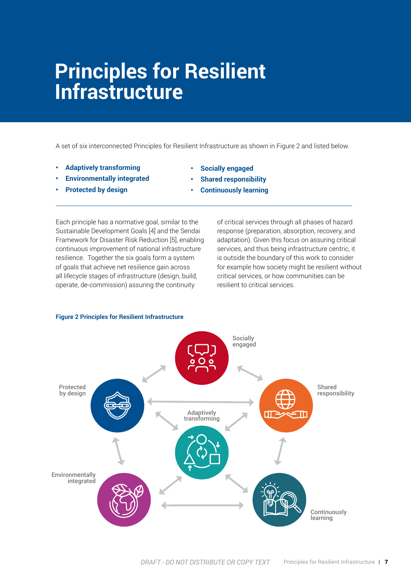## **Principles for Resilient Infrastructure**

A set of six interconnected Principles for Resilient Infrastructure as shown in Figure 2 and listed below.

- **• Adaptively transforming**
- **• Environmentally integrated**
- **• Protected by design**
- **• Socially engaged**
- **• Shared responsibility**
- **• Continuously learning**

Each principle has a normative goal, similar to the Sustainable Development Goals [4] and the Sendai Framework for Disaster Risk Reduction [5], enabling continuous improvement of national infrastructure resilience. Together the six goals form a system of goals that achieve net resilience gain across all lifecycle stages of infrastructure (design, build, operate, de-commission) assuring the continuity

of critical services through all phases of hazard response (preparation, absorption, recovery, and adaptation). Given this focus on assuring critical services, and thus being infrastructure centric, it is outside the boundary of this work to consider for example how society might be resilient without critical services, or how communities can be resilient to critical services.



#### **Figure 2 Principles for Resilient Infrastructure**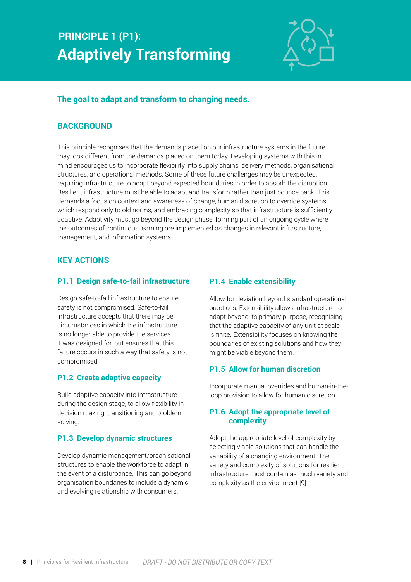## **PRINCIPLE 1 (P1): Adaptively Transforming**



#### **The goal to adapt and transform to changing needs.**

#### **BACKGROUND**

This principle recognises that the demands placed on our infrastructure systems in the future may look different from the demands placed on them today. Developing systems with this in mind encourages us to incorporate flexibility into supply chains, delivery methods, organisational structures, and operational methods. Some of these future challenges may be unexpected, requiring infrastructure to adapt beyond expected boundaries in order to absorb the disruption. Resilient infrastructure must be able to adapt and transform rather than just bounce back. This demands a focus on context and awareness of change, human discretion to override systems which respond only to old norms, and embracing complexity so that infrastructure is sufficiently adaptive. Adaptivity must go beyond the design phase, forming part of an ongoing cycle where the outcomes of continuous learning are implemented as changes in relevant infrastructure, management, and information systems.

#### **KEY ACTIONS**

#### **P1.1 Design safe-to-fail infrastructure**

Design safe-to-fail infrastructure to ensure safety is not compromised. Safe-to-fail infrastructure accepts that there may be circumstances in which the infrastructure is no longer able to provide the services it was designed for, but ensures that this failure occurs in such a way that safety is not compromised.

#### **P1.2 Create adaptive capacity**

Build adaptive capacity into infrastructure during the design stage, to allow flexibility in decision making, transitioning and problem solving.

#### **P1.3 Develop dynamic structures**

Develop dynamic management/organisational structures to enable the workforce to adapt in the event of a disturbance. This can go beyond organisation boundaries to include a dynamic and evolving relationship with consumers.

#### **P1.4 Enable extensibility**

Allow for deviation beyond standard operational practices. Extensibility allows infrastructure to adapt beyond its primary purpose, recognising that the adaptive capacity of any unit at scale is finite. Extensibility focuses on knowing the boundaries of existing solutions and how they might be viable beyond them.

#### **P1.5 Allow for human discretion**

Incorporate manual overrides and human-in-theloop provision to allow for human discretion.

#### **P1.6 Adopt the appropriate level of complexity**

Adopt the appropriate level of complexity by selecting viable solutions that can handle the variability of a changing environment. The variety and complexity of solutions for resilient infrastructure must contain as much variety and complexity as the environment [9].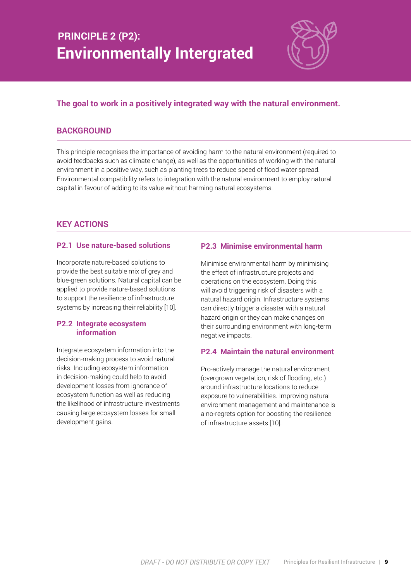## **PRINCIPLE 2 (P2): Environmentally Intergrated**



#### **The goal to work in a positively integrated way with the natural environment.**

#### **BACKGROUND**

This principle recognises the importance of avoiding harm to the natural environment (required to avoid feedbacks such as climate change), as well as the opportunities of working with the natural environment in a positive way, such as planting trees to reduce speed of flood water spread. Environmental compatibility refers to integration with the natural environment to employ natural capital in favour of adding to its value without harming natural ecosystems.

#### **KEY ACTIONS**

#### **P2.1 Use nature-based solutions**

Incorporate nature-based solutions to provide the best suitable mix of grey and blue-green solutions. Natural capital can be applied to provide nature-based solutions to support the resilience of infrastructure systems by increasing their reliability [10].

#### **P2.2 Integrate ecosystem information**

Integrate ecosystem information into the decision-making process to avoid natural risks. Including ecosystem information in decision-making could help to avoid development losses from ignorance of ecosystem function as well as reducing the likelihood of infrastructure investments causing large ecosystem losses for small development gains.

#### **P2.3 Minimise environmental harm**

Minimise environmental harm by minimising the effect of infrastructure projects and operations on the ecosystem. Doing this will avoid triggering risk of disasters with a natural hazard origin. Infrastructure systems can directly trigger a disaster with a natural hazard origin or they can make changes on their surrounding environment with long-term negative impacts.

#### **P2.4 Maintain the natural environment**

Pro-actively manage the natural environment (overgrown vegetation, risk of flooding, etc.) around infrastructure locations to reduce exposure to vulnerabilities. Improving natural environment management and maintenance is a no-regrets option for boosting the resilience of infrastructure assets [10].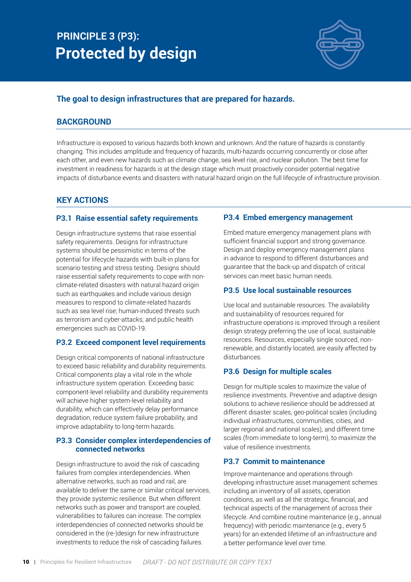### **PRINCIPLE 3 (P3): Protected by design**



#### **The goal to design infrastructures that are prepared for hazards.**

#### **BACKGROUND**

Infrastructure is exposed to various hazards both known and unknown. And the nature of hazards is constantly changing. This includes amplitude and frequency of hazards, multi-hazards occurring concurrently or close after each other, and even new hazards such as climate change, sea level rise, and nuclear pollution. The best time for investment in readiness for hazards is at the design stage which must proactively consider potential negative impacts of disturbance events and disasters with natural hazard origin on the full lifecycle of infrastructure provision.

#### **KEY ACTIONS**

#### **P3.1 Raise essential safety requirements**

Design infrastructure systems that raise essential safety requirements. Designs for infrastructure systems should be pessimistic in terms of the potential for lifecycle hazards with built-in plans for scenario testing and stress testing. Designs should raise essential safety requirements to cope with nonclimate-related disasters with natural hazard origin such as earthquakes and include various design measures to respond to climate-related hazards such as sea level rise; human-induced threats such as terrorism and cyber-attacks; and public health emergencies such as COVID-19.

#### **P3.2 Exceed component level requirements**

Design critical components of national infrastructure to exceed basic reliability and durability requirements. Critical components play a vital role in the whole infrastructure system operation. Exceeding basic component-level reliability and durability requirements will achieve higher system-level reliability and durability, which can effectively delay performance degradation, reduce system failure probability, and improve adaptability to long-term hazards.

#### **P3.3 Consider complex interdependencies of connected networks**

Design infrastructure to avoid the risk of cascading failures from complex interdependencies. When alternative networks, such as road and rail, are available to deliver the same or similar critical services, they provide systemic resilience. But when different networks such as power and transport are coupled, vulnerabilities to failures can increase. The complex interdependencies of connected networks should be considered in the (re-)design for new infrastructure investments to reduce the risk of cascading failures.

#### **P3.4 Embed emergency management**

Embed mature emergency management plans with sufficient financial support and strong governance. Design and deploy emergency management plans in advance to respond to different disturbances and guarantee that the back-up and dispatch of critical services can meet basic human needs.

#### **P3.5 Use local sustainable resources**

Use local and sustainable resources. The availability and sustainability of resources required for infrastructure operations is improved through a resilient design strategy preferring the use of local, sustainable resources. Resources, especially single sourced, nonrenewable, and distantly located, are easily affected by disturbances.

#### **P3.6 Design for multiple scales**

Design for multiple scales to maximize the value of resilience investments. Preventive and adaptive design solutions to achieve resilience should be addressed at different disaster scales, geo-political scales (including individual infrastructures, communities, cities, and larger regional and national scales), and different time scales (from immediate to long-term), to maximize the value of resilience investments.

#### **P3.7 Commit to maintenance**

Improve maintenance and operations through developing infrastructure asset management schemes including an inventory of all assets, operation conditions, as well as all the strategic, financial, and technical aspects of the management of across their lifecycle. And combine routine maintenance (e.g., annual frequency) with periodic maintenance (e.g., every 5 years) for an extended lifetime of an infrastructure and a better performance level over time.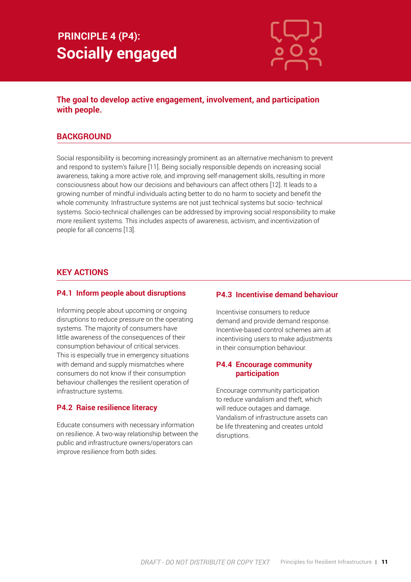## **PRINCIPLE 4 (P4): Socially engaged**



#### **The goal to develop active engagement, involvement, and participation with people.**

#### **BACKGROUND**

Social responsibility is becoming increasingly prominent as an alternative mechanism to prevent and respond to system's failure [11]. Being socially responsible depends on increasing social awareness, taking a more active role, and improving self-management skills, resulting in more consciousness about how our decisions and behaviours can affect others [12]. It leads to a growing number of mindful individuals acting better to do no harm to society and benefit the whole community. Infrastructure systems are not just technical systems but socio- technical systems. Socio-technical challenges can be addressed by improving social responsibility to make more resilient systems. This includes aspects of awareness, activism, and incentivization of people for all concerns [13].

#### **KEY ACTIONS**

#### **P4.1 Inform people about disruptions**

Informing people about upcoming or ongoing disruptions to reduce pressure on the operating systems. The majority of consumers have little awareness of the consequences of their consumption behaviour of critical services. This is especially true in emergency situations with demand and supply mismatches where consumers do not know if their consumption behaviour challenges the resilient operation of infrastructure systems.

#### **P4.2 Raise resilience literacy**

Educate consumers with necessary information on resilience. A two-way relationship between the public and infrastructure owners/operators can improve resilience from both sides.

#### **P4.3 Incentivise demand behaviour**

Incentivise consumers to reduce demand and provide demand response. Incentive-based control schemes aim at incentivising users to make adjustments in their consumption behaviour.

#### **P4.4 Encourage community participation**

Encourage community participation to reduce vandalism and theft, which will reduce outages and damage. Vandalism of infrastructure assets can be life threatening and creates untold disruptions.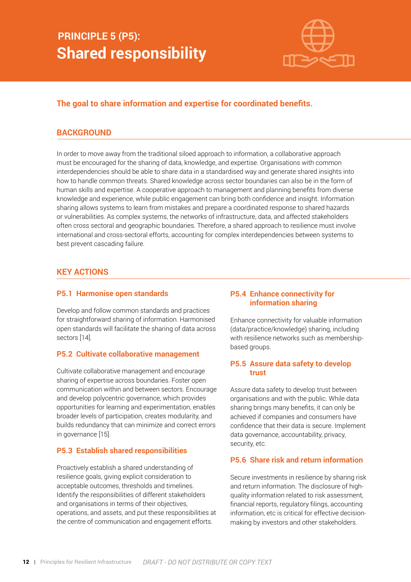### **PRINCIPLE 5 (P5): Shared responsibility**



#### **The goal to share information and expertise for coordinated benefits.**

#### **BACKGROUND**

In order to move away from the traditional siloed approach to information, a collaborative approach must be encouraged for the sharing of data, knowledge, and expertise. Organisations with common interdependencies should be able to share data in a standardised way and generate shared insights into how to handle common threats. Shared knowledge across sector boundaries can also be in the form of human skills and expertise. A cooperative approach to management and planning benefits from diverse knowledge and experience, while public engagement can bring both confidence and insight. Information sharing allows systems to learn from mistakes and prepare a coordinated response to shared hazards or vulnerabilities. As complex systems, the networks of infrastructure, data, and affected stakeholders often cross sectoral and geographic boundaries. Therefore, a shared approach to resilience must involve international and cross-sectoral efforts, accounting for complex interdependencies between systems to best prevent cascading failure.

#### **KEY ACTIONS**

#### **P5.1 Harmonise open standards**

Develop and follow common standards and practices for straightforward sharing of information. Harmonised open standards will facilitate the sharing of data across sectors [14].

#### **P5.2 Cultivate collaborative management**

Cultivate collaborative management and encourage sharing of expertise across boundaries. Foster open communication within and between sectors. Encourage and develop polycentric governance, which provides opportunities for learning and experimentation, enables broader levels of participation, creates modularity, and builds redundancy that can minimize and correct errors in governance [15].

#### **P5.3 Establish shared responsibilities**

Proactively establish a shared understanding of resilience goals, giving explicit consideration to acceptable outcomes, thresholds and timelines. Identify the responsibilities of different stakeholders and organisations in terms of their objectives, operations, and assets, and put these responsibilities at the centre of communication and engagement efforts.

#### **P5.4 Enhance connectivity for information sharing**

Enhance connectivity for valuable information (data/practice/knowledge) sharing, including with resilience networks such as membershipbased groups.

#### **P5.5 Assure data safety to develop trust**

Assure data safety to develop trust between organisations and with the public. While data sharing brings many benefits, it can only be achieved if companies and consumers have confidence that their data is secure. Implement data governance, accountability, privacy, security, etc.

#### **P5.6 Share risk and return information**

Secure investments in resilience by sharing risk and return information. The disclosure of highquality information related to risk assessment, financial reports, regulatory filings, accounting information, etc is critical for effective decisionmaking by investors and other stakeholders.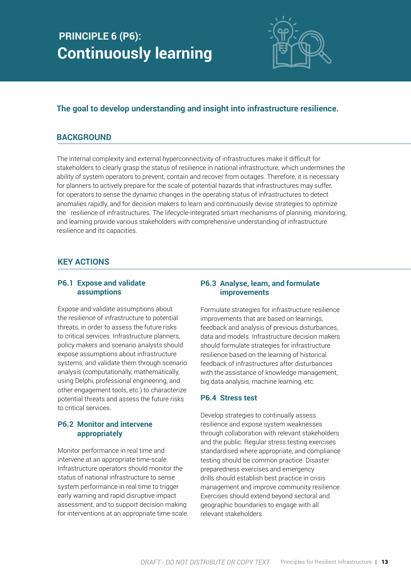## **PRINCIPLE 6 (P6): Continuously learning**



#### **The goal to develop understanding and insight into infrastructure resilience.**

#### **BACKGROUND**

The internal complexity and external hyperconnectivity of infrastructures make it difficult for stakeholders to clearly grasp the status of resilience in national infrastructure, which undermines the ability of system operators to prevent, contain and recover from outages. Therefore, it is necessary for planners to actively prepare for the scale of potential hazards that infrastructures may suffer, for operators to sense the dynamic changes in the operating status of infrastructures to detect anomalies rapidly, and for decision makers to learn and continuously devise strategies to optimize the resilience of infrastructures. The lifecycle-integrated smart mechanisms of planning, monitoring, and learning provide various stakeholders with comprehensive understanding of infrastructure resilience and its capacities.

#### **KEY ACTIONS**

#### **P6.1 Expose and validate assumptions**

Expose and validate assumptions about the resilience of infrastructure to potential threats, in order to assess the future risks to critical services. Infrastructure planners, policy makers and scenario analysts should expose assumptions about infrastructure systems, and validate them through scenario analysis (computationally, mathematically, using Delphi, professional engineering, and other engagement tools, etc.) to characterize potential threats and assess the future risks to critical services.

#### **P6.2 Monitor and intervene appropriately**

Monitor performance in real time and intervene at an appropriate time-scale. Infrastructure operators should monitor the status of national infrastructure to sense system performance in real time to trigger early warning and rapid disruptive impact assessment, and to support decision making for interventions at an appropriate time-scale.

#### **P6.3 Analyse, learn, and formulate improvements**

Formulate strategies for infrastructure resilience improvements that are based on learnings, feedback and analysis of previous disturbances, data and models. Infrastructure decision makers should formulate strategies for infrastructure resilience based on the learning of historical feedback of infrastructures after disturbances with the assistance of knowledge management, big data analysis, machine learning, etc.

#### **P6.4 Stress test**

Develop strategies to continually assess resilience and expose system weaknesses through collaboration with relevant stakeholders and the public. Regular stress testing exercises standardised where appropriate, and compliance testing should be common practice. Disaster preparedness exercises and emergency drills should establish best practice in crisis management and improve community resilience. Exercises should extend beyond sectoral and geographic boundaries to engage with all relevant stakeholders.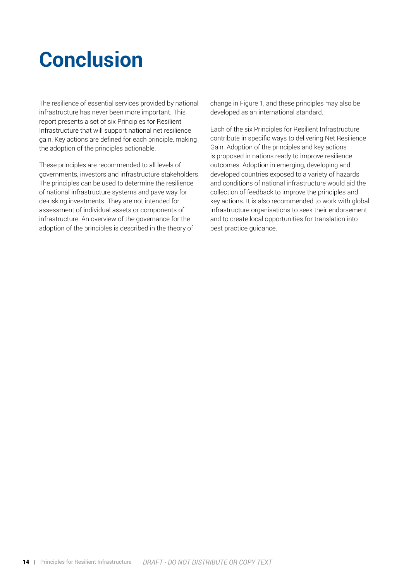## **Conclusion**

The resilience of essential services provided by national infrastructure has never been more important. This report presents a set of six Principles for Resilient Infrastructure that will support national net resilience gain. Key actions are defined for each principle, making the adoption of the principles actionable.

These principles are recommended to all levels of governments, investors and infrastructure stakeholders. The principles can be used to determine the resilience of national infrastructure systems and pave way for de-risking investments. They are not intended for assessment of individual assets or components of infrastructure. An overview of the governance for the adoption of the principles is described in the theory of

change in Figure 1, and these principles may also be developed as an international standard.

Each of the six Principles for Resilient Infrastructure contribute in specific ways to delivering Net Resilience Gain. Adoption of the principles and key actions is proposed in nations ready to improve resilience outcomes. Adoption in emerging, developing and developed countries exposed to a variety of hazards and conditions of national infrastructure would aid the collection of feedback to improve the principles and key actions. It is also recommended to work with global infrastructure organisations to seek their endorsement and to create local opportunities for translation into best practice guidance.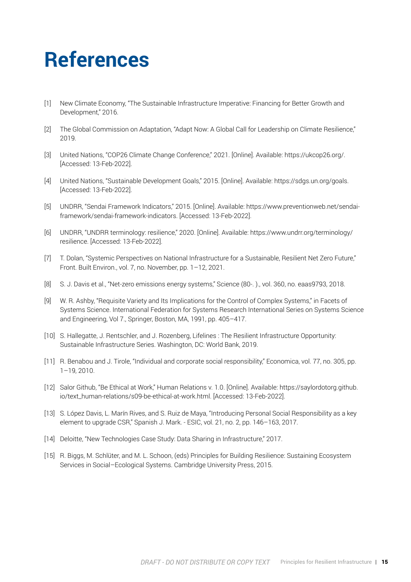## **References**

- [1] New Climate Economy, "The Sustainable Infrastructure Imperative: Financing for Better Growth and Development," 2016.
- [2] The Global Commission on Adaptation, "Adapt Now: A Global Call for Leadership on Climate Resilience," 2019.
- [3] United Nations, "COP26 Climate Change Conference," 2021. [Online]. Available: https://ukcop26.org/. [Accessed: 13-Feb-2022].
- [4] United Nations, "Sustainable Development Goals," 2015. [Online]. Available: https://sdgs.un.org/goals. [Accessed: 13-Feb-2022].
- [5] UNDRR, "Sendai Framework Indicators," 2015. [Online]. Available: https://www.preventionweb.net/sendaiframework/sendai-framework-indicators. [Accessed: 13-Feb-2022].
- [6] UNDRR, "UNDRR terminology: resilience," 2020. [Online]. Available: https://www.undrr.org/terminology/ resilience. [Accessed: 13-Feb-2022].
- [7] T. Dolan, "Systemic Perspectives on National Infrastructure for a Sustainable, Resilient Net Zero Future," Front. Built Environ., vol. 7, no. November, pp. 1–12, 2021.
- [8] S. J. Davis et al., "Net-zero emissions energy systems," Science (80-. )., vol. 360, no. eaas9793, 2018.
- [9] W. R. Ashby, "Requisite Variety and Its Implications for the Control of Complex Systems," in Facets of Systems Science. International Federation for Systems Research International Series on Systems Science and Engineering, Vol 7., Springer, Boston, MA, 1991, pp. 405–417.
- [10] S. Hallegatte, J. Rentschler, and J. Rozenberg, Lifelines : The Resilient Infrastructure Opportunity: Sustainable Infrastructure Series. Washington, DC: World Bank, 2019.
- [11] R. Benabou and J. Tirole, "Individual and corporate social responsibility," Economica, vol. 77, no. 305, pp. 1–19, 2010.
- [12] Salor Github, "Be Ethical at Work," Human Relations v. 1.0. [Online]. Available: https://saylordotorg.github. io/text\_human-relations/s09-be-ethical-at-work.html. [Accessed: 13-Feb-2022].
- [13] S. López Davis, L. Marín Rives, and S. Ruiz de Maya, "Introducing Personal Social Responsibility as a key element to upgrade CSR," Spanish J. Mark. - ESIC, vol. 21, no. 2, pp. 146–163, 2017.
- [14] Deloitte, "New Technologies Case Study: Data Sharing in Infrastructure," 2017.
- [15] R. Biggs, M. Schlüter, and M. L. Schoon, (eds) Principles for Building Resilience: Sustaining Ecosystem Services in Social–Ecological Systems. Cambridge University Press, 2015.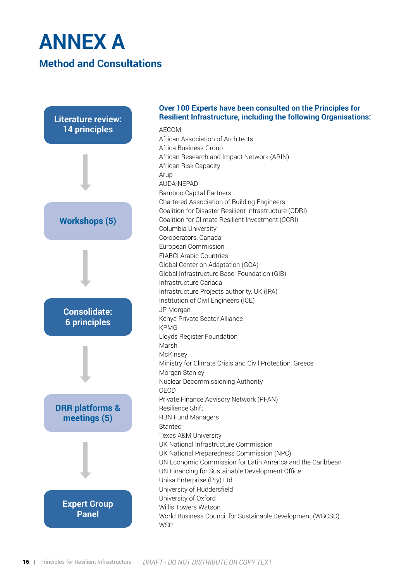## **ANNEX A Method and Consultations**



#### **Over 100 Experts have been consulted on the Principles for Resilient Infrastructure, including the following Organisations:**

AECOM African Association of Architects Africa Business Group African Research and Impact Network (ARIN) African Risk Capacity Arup AUDA-NEPAD Bamboo Capital Partners Chartered Association of Building Engineers Coalition for Disaster Resilient Infrastructure (CDRI) Coalition for Climate Resilient Investment (CCRI) Columbia University Co-operators, Canada European Commission FIABCI Arabic Countries Global Center on Adaptation (GCA) Global Infrastructure Basel Foundation (GIB) Infrastructure Canada Infrastructure Projects authority, UK (IPA) Institution of Civil Engineers (ICE) JP Morgan Kenya Private Sector Alliance KPMG Lloyds Register Foundation Marsh **McKinsey** Ministry for Climate Crisis and Civil Protection, Greece Morgan Stanley Nuclear Decommissioning Authority OECD Private Finance Advisory Network (PFAN) Resilience Shift RBN Fund Managers Stantec Texas A&M University UK National Infrastructure Commission UK National Preparedness Commission (NPC) UN Economic Commission for Latin America and the Caribbean UN Financing for Sustainable Development Office Unisa Enterprise (Pty) Ltd University of Huddersfield University of Oxford Willis Towers Watson World Business Council for Sustainable Development (WBCSD) **WSP**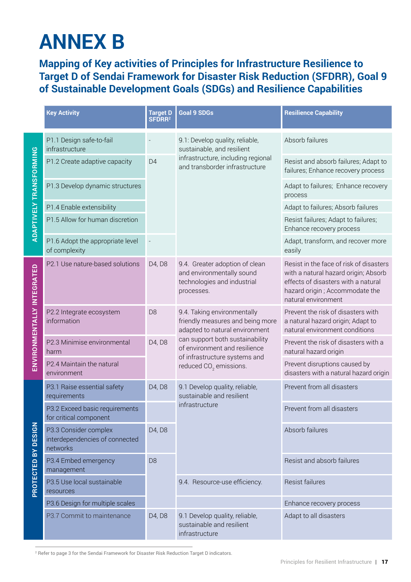## **ANNEX B**

**Mapping of Key activities of Principles for Infrastructure Resilience to Target D of Sendai Framework for Disaster Risk Reduction (SFDRR), Goal 9 of Sustainable Development Goals (SDGs) and Resilience Capabilities**

|                                |                                                                     | <b>Target D</b><br>SFDRR <sup>2</sup> | <b>Goal 9 SDGs</b>                                                                                                                    | <b>Resilience Capability</b>                                                                                                                                                    |
|--------------------------------|---------------------------------------------------------------------|---------------------------------------|---------------------------------------------------------------------------------------------------------------------------------------|---------------------------------------------------------------------------------------------------------------------------------------------------------------------------------|
|                                | P1.1 Design safe-to-fail<br>infrastructure                          |                                       | 9.1: Develop quality, reliable,<br>sustainable, and resilient<br>infrastructure, including regional<br>and transborder infrastructure | Absorb failures                                                                                                                                                                 |
| <b>ADAPTIVELY TRANSFORMING</b> | P1.2 Create adaptive capacity                                       | D <sub>4</sub>                        |                                                                                                                                       | Resist and absorb failures; Adapt to<br>failures; Enhance recovery process                                                                                                      |
|                                | P1.3 Develop dynamic structures                                     |                                       |                                                                                                                                       | Adapt to failures; Enhance recovery<br>process                                                                                                                                  |
|                                | P1.4 Enable extensibility                                           |                                       |                                                                                                                                       | Adapt to failures; Absorb failures                                                                                                                                              |
|                                | P1.5 Allow for human discretion                                     |                                       |                                                                                                                                       | Resist failures; Adapt to failures;<br>Enhance recovery process                                                                                                                 |
|                                | P1.6 Adopt the appropriate level<br>of complexity                   |                                       |                                                                                                                                       | Adapt, transform, and recover more<br>easily                                                                                                                                    |
| ENVIRONMENTALLY INTEGRATED     | P2.1 Use nature-based solutions                                     | D4, D8                                | 9.4. Greater adoption of clean<br>and environmentally sound<br>technologies and industrial<br>processes.                              | Resist in the face of risk of disasters<br>with a natural hazard origin; Absorb<br>effects of disasters with a natural<br>hazard origin; Accommodate the<br>natural environment |
|                                | P2.2 Integrate ecosystem<br>information                             | D <sub>8</sub>                        | 9.4. Taking environmentally<br>friendly measures and being more<br>adapted to natural environment                                     | Prevent the risk of disasters with<br>a natural hazard origin; Adapt to<br>natural environment conditions                                                                       |
|                                | P2.3 Minimise environmental<br>harm                                 | D4, D8                                | can support both sustainability<br>of environment and resilience<br>of infrastructure systems and<br>reduced $CO2$ emissions.         | Prevent the risk of disasters with a<br>natural hazard origin                                                                                                                   |
|                                | P2.4 Maintain the natural<br>environment                            |                                       |                                                                                                                                       | Prevent disruptions caused by<br>disasters with a natural hazard origin                                                                                                         |
|                                | P3.1 Raise essential safety<br>requirements                         | D4, D8                                | 9.1 Develop quality, reliable,<br>sustainable and resilient<br>infrastructure                                                         | Prevent from all disasters                                                                                                                                                      |
|                                | P3.2 Exceed basic requirements<br>for critical component            |                                       |                                                                                                                                       | Prevent from all disasters                                                                                                                                                      |
| PROTECTED BY DESIGN            | P3.3 Consider complex<br>interdependencies of connected<br>networks | D4, D8                                |                                                                                                                                       | Absorb failures                                                                                                                                                                 |
|                                | P3.4 Embed emergency<br>management                                  | D <sub>8</sub>                        |                                                                                                                                       | Resist and absorb failures                                                                                                                                                      |
|                                | P3.5 Use local sustainable<br>resources                             |                                       | 9.4. Resource-use efficiency.                                                                                                         | <b>Resist failures</b>                                                                                                                                                          |
|                                | P3.6 Design for multiple scales                                     |                                       |                                                                                                                                       | Enhance recovery process                                                                                                                                                        |
|                                | P3.7 Commit to maintenance                                          | D4, D8                                | 9.1 Develop quality, reliable,<br>sustainable and resilient<br>infrastructure                                                         | Adapt to all disasters                                                                                                                                                          |

2 Refer to page 3 for the Sendai Framework for Disaster Risk Reduction Target D indicators.